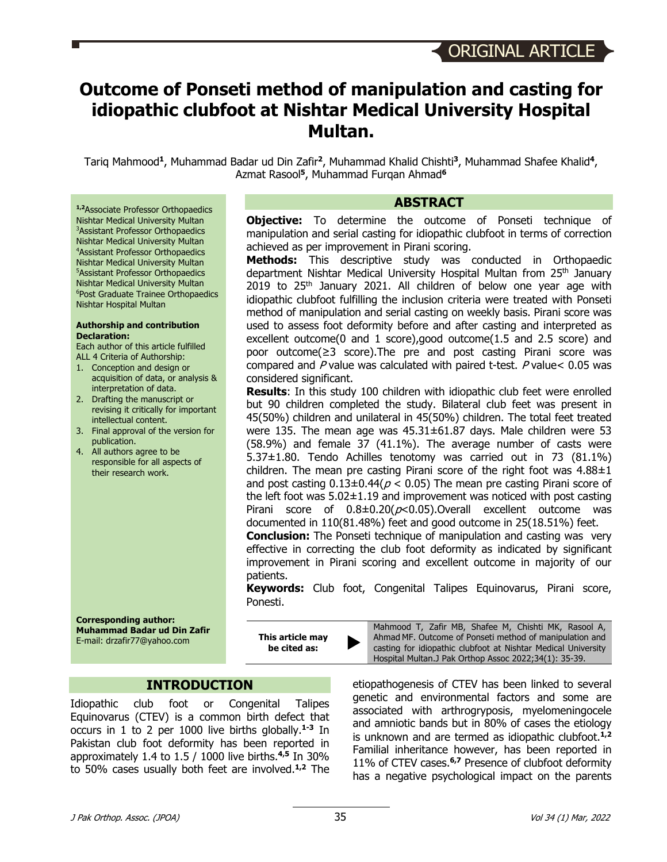# **Outcome of Ponseti method of manipulation and casting for idiopathic clubfoot at Nishtar Medical University Hospital Multan.**

Tariq Mahmood**<sup>1</sup>**, Muhammad Badar ud Din Zafir**<sup>2</sup>**, Muhammad Khalid Chishti**<sup>3</sup>**, Muhammad Shafee Khalid**<sup>4</sup>**, Azmat Rasool**<sup>5</sup>**, Muhammad Furqan Ahmad**<sup>6</sup>**

#### **ABSTRACT**

**Objective:** To determine the outcome of Ponseti technique of manipulation and serial casting for idiopathic clubfoot in terms of correction achieved as per improvement in Pirani scoring.

**Methods:** This descriptive study was conducted in Orthopaedic department Nishtar Medical University Hospital Multan from 25<sup>th</sup> January 2019 to  $25<sup>th</sup>$  January 2021. All children of below one year age with idiopathic clubfoot fulfilling the inclusion criteria were treated with Ponseti method of manipulation and serial casting on weekly basis. Pirani score was used to assess foot deformity before and after casting and interpreted as excellent outcome(0 and 1 score),good outcome(1.5 and 2.5 score) and poor outcome(≥3 score).The pre and post casting Pirani score was compared and P value was calculated with paired t-test. P value< 0.05 was considered significant.

**Results**: In this study 100 children with idiopathic club feet were enrolled but 90 children completed the study. Bilateral club feet was present in 45(50%) children and unilateral in 45(50%) children. The total feet treated were 135. The mean age was 45.31±61.87 days. Male children were 53 (58.9%) and female 37 (41.1%). The average number of casts were 5.37±1.80. Tendo Achilles tenotomy was carried out in 73 (81.1%) children. The mean pre casting Pirani score of the right foot was  $4.88 \pm 1$ and post casting  $0.13\pm0.44(p < 0.05)$  The mean pre casting Pirani score of the left foot was  $5.02\pm1.19$  and improvement was noticed with post casting Pirani score of  $0.8\pm0.20(p<0.05)$ . Overall excellent outcome was documented in 110(81.48%) feet and good outcome in 25(18.51%) feet.

**Conclusion:** The Ponseti technique of manipulation and casting was very effective in correcting the club foot deformity as indicated by significant improvement in Pirani scoring and excellent outcome in majority of our patients.

**Keywords:** Club foot, Congenital Talipes Equinovarus, Pirani score, Ponesti.

**Corresponding author: Muhammad Badar ud Din Zafir** E-mail: drzafir77@yahoo.com

**1,2**Associate Professor Orthopaedics Nishtar Medical University Multan 3 Assistant Professor Orthopaedics Nishtar Medical University Multan 4 Assistant Professor Orthopaedics Nishtar Medical University Multan 5 Assistant Professor Orthopaedics Nishtar Medical University Multan 6 Post Graduate Trainee Orthopaedics

Nishtar Hospital Multan

**Declaration:**

**Authorship and contribution** 

Each author of this article fulfilled ALL 4 Criteria of Authorship: 1. Conception and design or

interpretation of data. 2. Drafting the manuscript or

intellectual content. 3. Final approval of the version for

publication. 4. All authors agree to be responsible for all aspects of their research work.

acquisition of data, or analysis &

revising it critically for important

**This article may be cited as:** 

Mahmood T, Zafir MB, Shafee M, Chishti MK, Rasool A, Ahmad MF. Outcome of Ponseti method of manipulation and casting for idiopathic clubfoot at Nishtar Medical University Hospital Multan.J Pak Orthop Assoc 2022;34(1): 35-39.

etiopathogenesis of CTEV has been linked to several genetic and environmental factors and some are associated with arthrogryposis, myelomeningocele and amniotic bands but in 80% of cases the etiology is unknown and are termed as idiopathic clubfoot. **1,2** Familial inheritance however, has been reported in 11% of CTEV cases.**6,7** Presence of clubfoot deformity has a negative psychological impact on the parents

## **INTRODUCTION**

Idiopathic club foot or Congenital Talipes Equinovarus (CTEV) is a common birth defect that occurs in 1 to 2 per 1000 live births globally. **1-3** In Pakistan club foot deformity has been reported in approximately 1.4 to 1.5 / 1000 live births. **4,5** In 30% to 50% cases usually both feet are involved. **1,2** The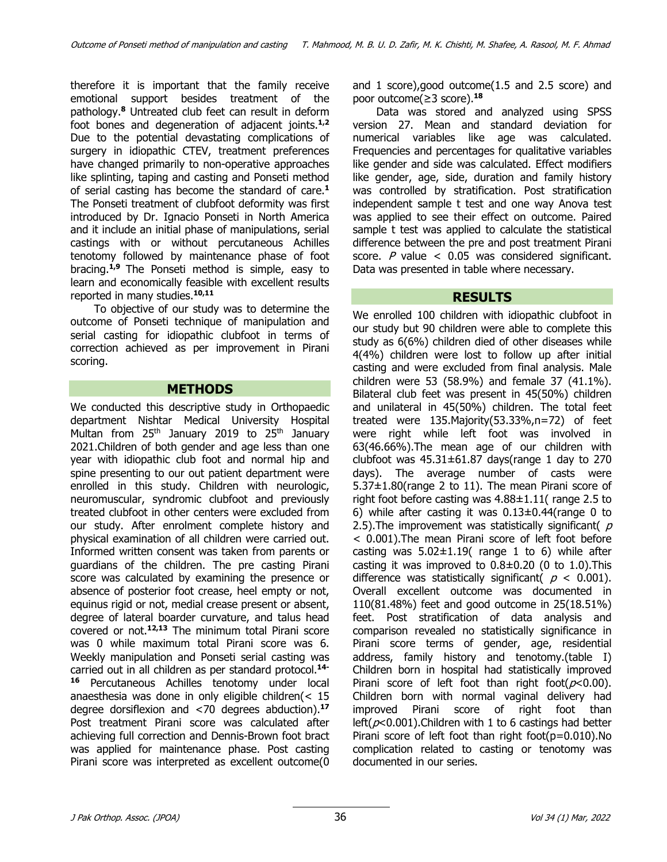therefore it is important that the family receive emotional support besides treatment of the pathology.**<sup>8</sup>** Untreated club feet can result in deform foot bones and degeneration of adjacent joints.**1,2** Due to the potential devastating complications of surgery in idiopathic CTEV, treatment preferences have changed primarily to non-operative approaches like splinting, taping and casting and Ponseti method of serial casting has become the standard of care.**<sup>1</sup>** The Ponseti treatment of clubfoot deformity was first introduced by Dr. Ignacio Ponseti in North America and it include an initial phase of manipulations, serial castings with or without percutaneous Achilles tenotomy followed by maintenance phase of foot bracing. **1,9** The Ponseti method is simple, easy to learn and economically feasible with excellent results reported in many studies. **10,11**

To objective of our study was to determine the outcome of Ponseti technique of manipulation and serial casting for idiopathic clubfoot in terms of correction achieved as per improvement in Pirani scoring.

## **METHODS**

We conducted this descriptive study in Orthopaedic department Nishtar Medical University Hospital Multan from  $25<sup>th</sup>$  January 2019 to  $25<sup>th</sup>$  January 2021.Children of both gender and age less than one year with idiopathic club foot and normal hip and spine presenting to our out patient department were enrolled in this study. Children with neurologic, neuromuscular, syndromic clubfoot and previously treated clubfoot in other centers were excluded from our study. After enrolment complete history and physical examination of all children were carried out. Informed written consent was taken from parents or guardians of the children. The pre casting Pirani score was calculated by examining the presence or absence of posterior foot crease, heel empty or not, equinus rigid or not, medial crease present or absent, degree of lateral boarder curvature, and talus head covered or not.**12,13** The minimum total Pirani score was 0 while maximum total Pirani score was 6. Weekly manipulation and Ponseti serial casting was carried out in all children as per standard protocol.**14- <sup>16</sup>** Percutaneous Achilles tenotomy under local anaesthesia was done in only eligible children(< 15 degree dorsiflexion and <70 degrees abduction). **17** Post treatment Pirani score was calculated after achieving full correction and Dennis-Brown foot bract was applied for maintenance phase. Post casting Pirani score was interpreted as excellent outcome(0

and 1 score),good outcome(1.5 and 2.5 score) and poor outcome(≥3 score).**<sup>18</sup>**

Data was stored and analyzed using SPSS version 27. Mean and standard deviation for numerical variables like age was calculated. Frequencies and percentages for qualitative variables like gender and side was calculated. Effect modifiers like gender, age, side, duration and family history was controlled by stratification. Post stratification independent sample t test and one way Anova test was applied to see their effect on outcome. Paired sample t test was applied to calculate the statistical difference between the pre and post treatment Pirani score. P value  $<$  0.05 was considered significant. Data was presented in table where necessary.

## **RESULTS**

We enrolled 100 children with idiopathic clubfoot in our study but 90 children were able to complete this study as 6(6%) children died of other diseases while 4(4%) children were lost to follow up after initial casting and were excluded from final analysis. Male children were 53 (58.9%) and female 37 (41.1%). Bilateral club feet was present in 45(50%) children and unilateral in 45(50%) children. The total feet treated were 135.Majority(53.33%,n=72) of feet were right while left foot was involved in 63(46.66%).The mean age of our children with clubfoot was  $45.31 \pm 61.87$  days(range 1 day to 270 days). The average number of casts were 5.37±1.80(range 2 to 11). The mean Pirani score of right foot before casting was 4.88±1.11( range 2.5 to 6) while after casting it was  $0.13\pm0.44$  (range 0 to 2.5). The improvement was statistically significant( $p$ < 0.001).The mean Pirani score of left foot before casting was  $5.02 \pm 1.19$  range 1 to 6) while after casting it was improved to  $0.8\pm0.20$  (0 to 1.0). This difference was statistically significant(  $p < 0.001$ ). Overall excellent outcome was documented in 110(81.48%) feet and good outcome in 25(18.51%) feet. Post stratification of data analysis and comparison revealed no statistically significance in Pirani score terms of gender, age, residential address, family history and tenotomy.(table I) Children born in hospital had statistically improved Pirani score of left foot than right foot( $p<0.00$ ). Children born with normal vaginal delivery had improved Pirani score of right foot than left( $p$ <0.001).Children with 1 to 6 castings had better Pirani score of left foot than right foot( $p=0.010$ ).No complication related to casting or tenotomy was documented in our series.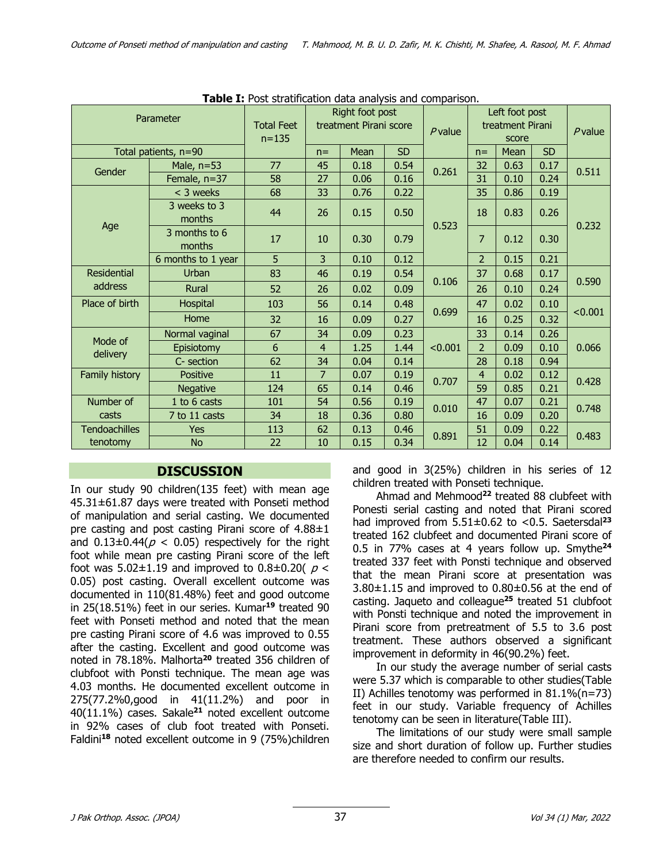| <b>Table I:</b> Post stratification data analysis and comparison. |                         |                   |                                           |      |           |                                    |                |      |           |         |
|-------------------------------------------------------------------|-------------------------|-------------------|-------------------------------------------|------|-----------|------------------------------------|----------------|------|-----------|---------|
| Parameter                                                         |                         | <b>Total Feet</b> | Right foot post<br>treatment Pirani score |      |           | Left foot post<br>treatment Pirani |                |      | $P$ value |         |
|                                                                   |                         | $n = 135$         |                                           |      | $P$ value | score                              |                |      |           |         |
| Total patients, n=90                                              |                         |                   | $n =$                                     | Mean | <b>SD</b> |                                    | $n =$          | Mean | <b>SD</b> |         |
| Gender                                                            | Male, $n=53$            | 77                | 45                                        | 0.18 | 0.54      | 0.261                              | 32             | 0.63 | 0.17      | 0.511   |
|                                                                   | Female, n=37            | 58                | 27                                        | 0.06 | 0.16      |                                    | 31             | 0.10 | 0.24      |         |
| Age                                                               | < 3 weeks               | 68                | 33                                        | 0.76 | 0.22      | 0.523                              | 35             | 0.86 | 0.19      | 0.232   |
|                                                                   | 3 weeks to 3<br>months  | 44                | 26                                        | 0.15 | 0.50      |                                    | 18             | 0.83 | 0.26      |         |
|                                                                   | 3 months to 6<br>months | 17                | 10                                        | 0.30 | 0.79      |                                    | 7              | 0.12 | 0.30      |         |
|                                                                   | 6 months to 1 year      | 5                 | 3                                         | 0.10 | 0.12      |                                    | $\overline{2}$ | 0.15 | 0.21      |         |
| Residential<br>address                                            | Urban                   | 83                | 46                                        | 0.19 | 0.54      | 0.106                              | 37             | 0.68 | 0.17      | 0.590   |
|                                                                   | Rural                   | 52                | 26                                        | 0.02 | 0.09      |                                    | 26             | 0.10 | 0.24      |         |
| Place of birth                                                    | Hospital                | 103               | 56                                        | 0.14 | 0.48      |                                    | 47             | 0.02 | 0.10      |         |
|                                                                   | Home                    | 32                | 16                                        | 0.09 | 0.27      | 0.699                              | 16             | 0.25 | 0.32      | < 0.001 |
| Mode of<br>delivery                                               | Normal vaginal          | 67                | 34                                        | 0.09 | 0.23      | < 0.001                            | 33             | 0.14 | 0.26      | 0.066   |
|                                                                   | Episiotomy              | 6                 | 4                                         | 1.25 | 1.44      |                                    | $\overline{2}$ | 0.09 | 0.10      |         |
|                                                                   | C- section              | 62                | 34                                        | 0.04 | 0.14      |                                    | 28             | 0.18 | 0.94      |         |
| Family history                                                    | Positive                | 11                | $\overline{7}$                            | 0.07 | 0.19      | 0.707                              | $\overline{4}$ | 0.02 | 0.12      | 0.428   |
|                                                                   | <b>Negative</b>         | 124               | 65                                        | 0.14 | 0.46      |                                    | 59             | 0.85 | 0.21      |         |
| Number of                                                         | 1 to 6 casts            | 101               | 54                                        | 0.56 | 0.19      | 0.010                              | 47             | 0.07 | 0.21      | 0.748   |
| casts                                                             | 7 to 11 casts           | 34                | 18                                        | 0.36 | 0.80      |                                    | 16             | 0.09 | 0.20      |         |
| <b>Tendoachilles</b>                                              | <b>Yes</b>              | 113               | 62                                        | 0.13 | 0.46      | 0.891                              | 51             | 0.09 | 0.22      | 0.483   |
| tenotomy                                                          | <b>No</b>               | 22                | 10                                        | 0.15 | 0.34      |                                    | 12             | 0.04 | 0.14      |         |

**Table I:** Post stratification data analysis and comparison.

## **DISCUSSION**

In our study 90 children(135 feet) with mean age 45.31±61.87 days were treated with Ponseti method of manipulation and serial casting. We documented pre casting and post casting Pirani score of 4.88±1 and  $0.13\pm0.44(p < 0.05)$  respectively for the right foot while mean pre casting Pirani score of the left foot was 5.02 $\pm$ 1.19 and improved to 0.8 $\pm$ 0.20(  $p$  < 0.05) post casting. Overall excellent outcome was documented in 110(81.48%) feet and good outcome in 25(18.51%) feet in our series. Kumar**<sup>19</sup>** treated 90 feet with Ponseti method and noted that the mean pre casting Pirani score of 4.6 was improved to 0.55 after the casting. Excellent and good outcome was noted in 78.18%. Malhorta**<sup>20</sup>** treated 356 children of clubfoot with Ponsti technique. The mean age was 4.03 months. He documented excellent outcome in 275(77.2%0,good in 41(11.2%) and poor in 40(11.1%) cases. Sakale**<sup>21</sup>** noted excellent outcome in 92% cases of club foot treated with Ponseti. Faldini**<sup>18</sup>** noted excellent outcome in 9 (75%)children and good in 3(25%) children in his series of 12 children treated with Ponseti technique.

Ahmad and Mehmood**<sup>22</sup>** treated 88 clubfeet with Ponesti serial casting and noted that Pirani scored had improved from 5.51±0.62 to <0.5. Saetersdal**<sup>23</sup>** treated 162 clubfeet and documented Pirani score of 0.5 in 77% cases at 4 years follow up. Smythe**<sup>24</sup>** treated 337 feet with Ponsti technique and observed that the mean Pirani score at presentation was  $3.80\pm1.15$  and improved to  $0.80\pm0.56$  at the end of casting. Jaqueto and colleague**<sup>25</sup>** treated 51 clubfoot with Ponsti technique and noted the improvement in Pirani score from pretreatment of 5.5 to 3.6 post treatment. These authors observed a significant improvement in deformity in 46(90.2%) feet.

In our study the average number of serial casts were 5.37 which is comparable to other studies(Table II) Achilles tenotomy was performed in 81.1%(n=73) feet in our study. Variable frequency of Achilles tenotomy can be seen in literature(Table III).

The limitations of our study were small sample size and short duration of follow up. Further studies are therefore needed to confirm our results.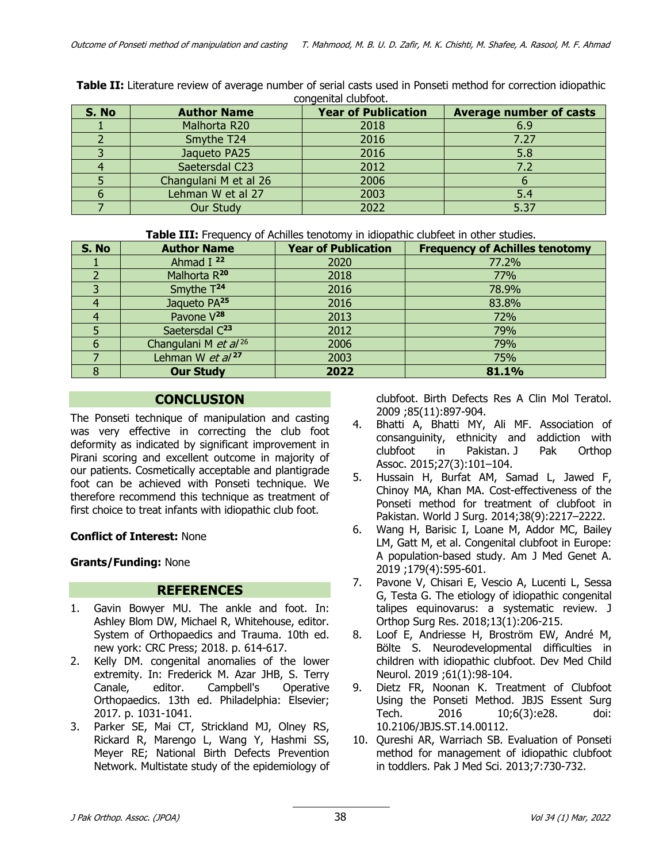| S. No | <b>Author Name</b>    | <b>Year of Publication</b> | <b>Average number of casts</b> |  |  |
|-------|-----------------------|----------------------------|--------------------------------|--|--|
|       | Malhorta R20          | 2018                       | 6.9                            |  |  |
|       | Smythe T24            | 2016                       | 7.27                           |  |  |
|       | Jaqueto PA25          | 2016                       | 5.8                            |  |  |
|       | Saetersdal C23        | 2012                       |                                |  |  |
|       | Changulani M et al 26 | 2006                       |                                |  |  |
|       | Lehman W et al 27     | 2003                       | 5.4                            |  |  |
|       | <b>Our Study</b>      | 2022                       | 5.37                           |  |  |

**Table II:** Literature review of average number of serial casts used in Ponseti method for correction idiopathic congenital clubfoot.

**Table III:** Frequency of Achilles tenotomy in idiopathic clubfeet in other studies.

| S. No | <b>Author Name</b>               | <b>Year of Publication</b> | <b>Frequency of Achilles tenotomy</b> |
|-------|----------------------------------|----------------------------|---------------------------------------|
|       | Ahmad I $22$                     | 2020                       | 77.2%                                 |
|       | Malhorta R <sup>20</sup>         | 2018                       | 77%                                   |
|       | Smythe T <sup>24</sup>           | 2016                       | 78.9%                                 |
|       | Jaqueto PA <sup>25</sup>         | 2016                       | 83.8%                                 |
| 4     | Pavone V <sup>28</sup>           | 2013                       | 72%                                   |
|       | Saetersdal C <sup>23</sup>       | 2012                       | 79%                                   |
| 6     | Changulani M et al <sup>26</sup> | 2006                       | 79%                                   |
|       | Lehman W et al <sup>27</sup>     | 2003                       | 75%                                   |
|       | <b>Our Study</b>                 | 2022                       | 81.1%                                 |

## **CONCLUSION**

The Ponseti technique of manipulation and casting was very effective in correcting the club foot deformity as indicated by significant improvement in Pirani scoring and excellent outcome in majority of our patients. Cosmetically acceptable and plantigrade foot can be achieved with Ponseti technique. We therefore recommend this technique as treatment of first choice to treat infants with idiopathic club foot.

## **Conflict of Interest:** None

## **Grants/Funding:** None

## **REFERENCES**

- 1. Gavin Bowyer MU. The ankle and foot. In: Ashley Blom DW, Michael R, Whitehouse, editor. System of Orthopaedics and Trauma. 10th ed. new york: CRC Press; 2018. p. 614-617.
- 2. Kelly DM. congenital anomalies of the lower extremity. In: Frederick M. Azar JHB, S. Terry Canale, editor. Campbell's Operative Orthopaedics. 13th ed. Philadelphia: Elsevier; 2017. p. 1031-1041.
- 3. Parker SE, Mai CT, Strickland MJ, Olney RS, Rickard R, Marengo L, Wang Y, Hashmi SS, Meyer RE; National Birth Defects Prevention Network. Multistate study of the epidemiology of

clubfoot. Birth Defects Res A Clin Mol Teratol. 2009 ;85(11):897-904.

- 4. Bhatti A, Bhatti MY, Ali MF. Association of consanguinity, ethnicity and addiction with clubfoot in Pakistan. J Pak Orthop Assoc. 2015;27(3):101–104.
- 5. Hussain H, Burfat AM, Samad L, Jawed F, Chinoy MA, Khan MA. Cost-effectiveness of the Ponseti method for treatment of clubfoot in Pakistan. World J Surg. 2014;38(9):2217–2222.
- 6. Wang H, Barisic I, Loane M, Addor MC, Bailey LM, Gatt M, et al. Congenital clubfoot in Europe: A population-based study. Am J Med Genet A. 2019 ;179(4):595-601.
- 7. Pavone V, Chisari E, Vescio A, Lucenti L, Sessa G, Testa G. The etiology of idiopathic congenital talipes equinovarus: a systematic review. J Orthop Surg Res. 2018;13(1):206-215.
- 8. Loof E, Andriesse H, Broström EW, André M, Bölte S. Neurodevelopmental difficulties in children with idiopathic clubfoot. Dev Med Child Neurol. 2019 ;61(1):98-104.
- 9. Dietz FR, Noonan K. Treatment of Clubfoot Using the Ponseti Method. JBJS Essent Surg Tech. 2016 10;6(3):e28. doi: 10.2106/JBJS.ST.14.00112.
- 10. Qureshi AR, Warriach SB. Evaluation of Ponseti method for management of idiopathic clubfoot in toddlers. Pak J Med Sci. 2013;7:730-732.